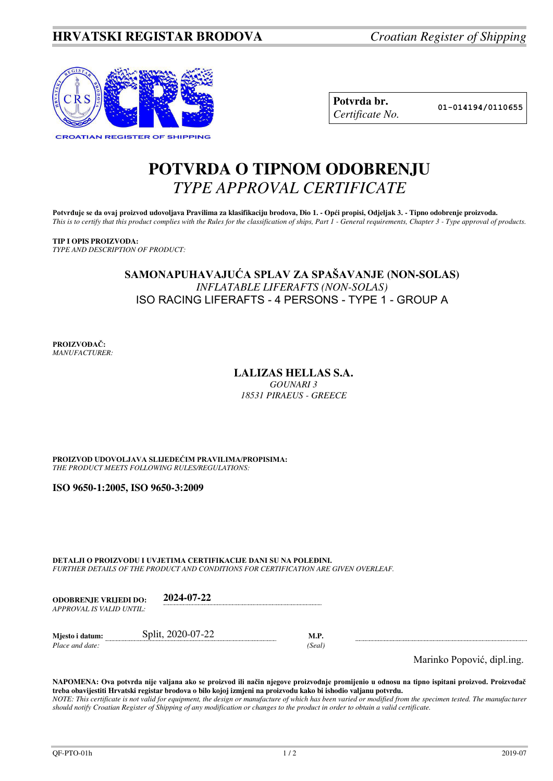

| Potvrda br.     |
|-----------------|
| Certificate No. |

**Potvrda br. 01-014194/0110655**

# **POTVRDA O TIPNOM ODOBRENJU**  *TYPE APPROVAL CERTIFICATE*

Potvrđuje se da ovaj proizvod udovoljava Pravilima za klasifikaciju brodova, Dio 1. - Opći propisi, Odjeljak 3. - Tipno odobrenje proizvoda. *This is to certify that this product complies with the Rules for the classification of ships, Part 1 - General requirements, Chapter 3 - Type approval of products.* 

**TIP I OPIS PROIZVODA:** *TYPE AND DESCRIPTION OF PRODUCT:* 

### **SAMONAPUHAVAJUĆA SPLAV ZA SPAŠAVANJE (NON-SOLAS)**  *INFLATABLE LIFERAFTS (NON-SOLAS)*  ISO RACING LIFERAFTS - 4 PERSONS - TYPE 1 - GROUP A

**PROIZVOĐAČ:** *MANUFACTURER:*

## **LALIZAS HELLAS S.A.**

*GOUNARI 3 18531 PIRAEUS - GREECE*

**PROIZVOD UDOVOLJAVA SLIJEDEĆIM PRAVILIMA/PROPISIMA:** *THE PRODUCT MEETS FOLLOWING RULES/REGULATIONS:* 

**ISO 9650-1:2005, ISO 9650-3:2009**

**DETALJI O PROIZVODU I UVJETIMA CERTIFIKACIJE DANI SU NA POLEĐINI.** *FURTHER DETAILS OF THE PRODUCT AND CONDITIONS FOR CERTIFICATION ARE GIVEN OVERLEAF.* 

| <b>ODOBRENJE VRLIEDI DO:</b> | 2024-07-22 |
|------------------------------|------------|
| APPROVAL IS VALID UNTIL:     |            |

| Miesto i datum: | Split, 2020-07-22 |       |
|-----------------|-------------------|-------|
| Place and date: |                   | Seal' |

Marinko Popović, dipl.ing.

**NAPOMENA: Ova potvrda nije valjana ako se proizvod ili način njegove proizvodnje promijenio u odnosu na tipno ispitani proizvod. Proizvođač treba obavijestiti Hrvatski registar brodova o bilo kojoj izmjeni na proizvodu kako bi ishodio valjanu potvrdu.**  *NOTE: This certificate is not valid for equipment, the design or manufacture of which has been varied or modified from the specimen tested. The manufacturer should notify Croatian Register of Shipping of any modification or changes to the product in order to obtain a valid certificate.*